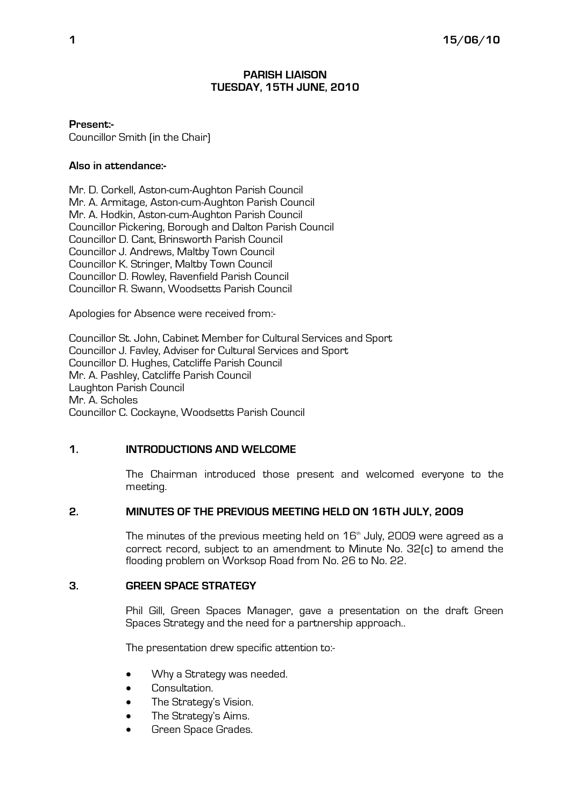### PARISH LIAISON TUESDAY, 15TH JUNE, 2010

Present:- Councillor Smith (in the Chair)

#### Also in attendance:-

Mr. D. Corkell, Aston-cum-Aughton Parish Council Mr. A. Armitage, Aston-cum-Aughton Parish Council Mr. A. Hodkin, Aston-cum-Aughton Parish Council Councillor Pickering, Borough and Dalton Parish Council Councillor D. Cant, Brinsworth Parish Council Councillor J. Andrews, Maltby Town Council Councillor K. Stringer, Maltby Town Council Councillor D. Rowley, Ravenfield Parish Council Councillor R. Swann, Woodsetts Parish Council

Apologies for Absence were received from:-

Councillor St. John, Cabinet Member for Cultural Services and Sport Councillor J. Favley, Adviser for Cultural Services and Sport Councillor D. Hughes, Catcliffe Parish Council Mr. A. Pashley, Catcliffe Parish Council Laughton Parish Council Mr. A. Scholes Councillor C. Cockayne, Woodsetts Parish Council

### 1. INTRODUCTIONS AND WELCOME

The Chairman introduced those present and welcomed everyone to the meeting.

# 2. MINUTES OF THE PREVIOUS MEETING HELD ON 16TH JULY, 2009

The minutes of the previous meeting held on  $16<sup>th</sup>$  July, 2009 were agreed as a correct record, subject to an amendment to Minute No. 32(c) to amend the flooding problem on Worksop Road from No. 26 to No. 22.

# 3. GREEN SPACE STRATEGY

Phil Gill, Green Spaces Manager, gave a presentation on the draft Green Spaces Strategy and the need for a partnership approach..

The presentation drew specific attention to:-

- Why a Strategy was needed.
- Consultation.
- The Strategy's Vision.
- The Strategy's Aims.
- Green Space Grades.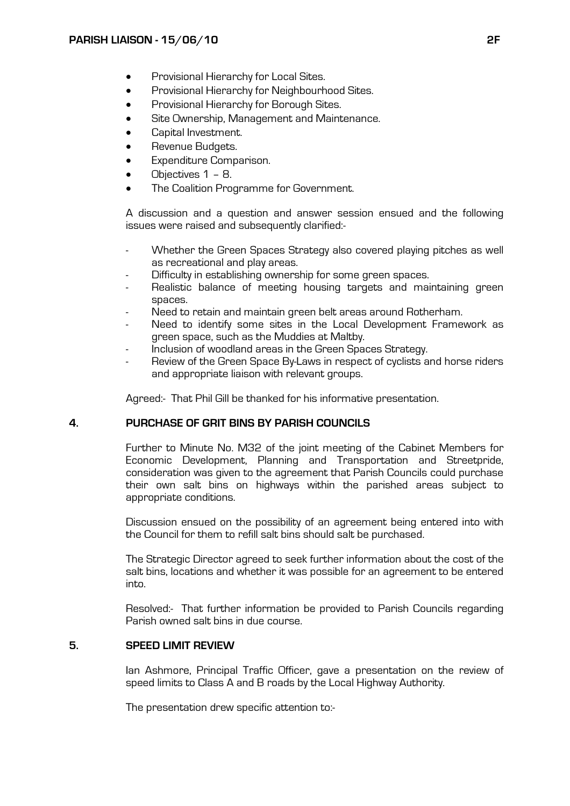- Provisional Hierarchy for Local Sites.
- Provisional Hierarchy for Neighbourhood Sites.
- Provisional Hierarchy for Borough Sites.
- Site Ownership, Management and Maintenance.
- Capital Investment.
- Revenue Budgets.
- Expenditure Comparison.
- Objectives 1 8.
- The Coalition Programme for Government.

A discussion and a question and answer session ensued and the following issues were raised and subsequently clarified:-

- Whether the Green Spaces Strategy also covered playing pitches as well as recreational and play areas.
- Difficulty in establishing ownership for some green spaces.
- Realistic balance of meeting housing targets and maintaining green spaces.
- Need to retain and maintain green belt areas around Rotherham.
- Need to identify some sites in the Local Development Framework as green space, such as the Muddies at Maltby.
- Inclusion of woodland areas in the Green Spaces Strategy.
- Review of the Green Space By-Laws in respect of cyclists and horse riders and appropriate liaison with relevant groups.

Agreed:- That Phil Gill be thanked for his informative presentation.

### 4. PURCHASE OF GRIT BINS BY PARISH COUNCILS

Further to Minute No. M32 of the joint meeting of the Cabinet Members for Economic Development, Planning and Transportation and Streetpride, consideration was given to the agreement that Parish Councils could purchase their own salt bins on highways within the parished areas subject to appropriate conditions.

Discussion ensued on the possibility of an agreement being entered into with the Council for them to refill salt bins should salt be purchased.

The Strategic Director agreed to seek further information about the cost of the salt bins, locations and whether it was possible for an agreement to be entered into.

Resolved:- That further information be provided to Parish Councils regarding Parish owned salt bins in due course.

# 5. SPEED LIMIT REVIEW

Ian Ashmore, Principal Traffic Officer, gave a presentation on the review of speed limits to Class A and B roads by the Local Highway Authority.

The presentation drew specific attention to:-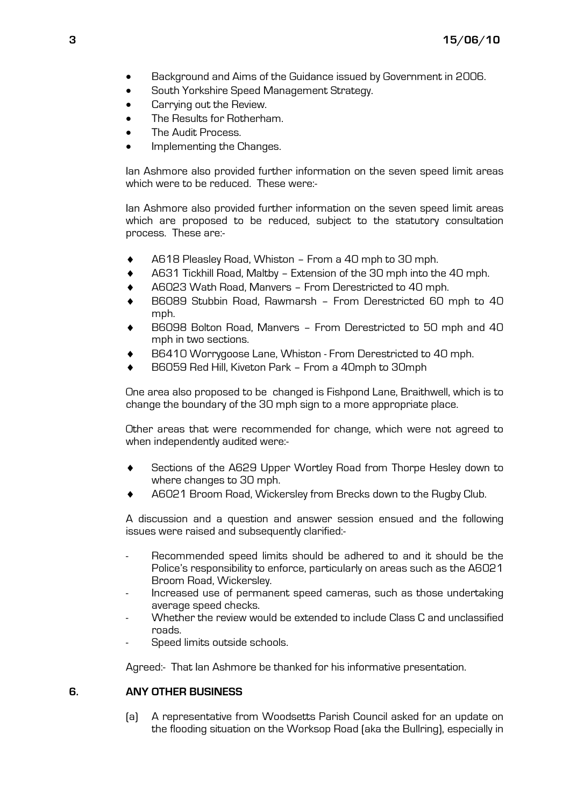- Background and Aims of the Guidance issued by Government in 2006.
- South Yorkshire Speed Management Strategy.
- Carrying out the Review.
- The Results for Rotherham.
- The Audit Process.
- Implementing the Changes.

Ian Ashmore also provided further information on the seven speed limit areas which were to be reduced. These were:-

Ian Ashmore also provided further information on the seven speed limit areas which are proposed to be reduced, subject to the statutory consultation process. These are:-

- A618 Pleasley Road, Whiston From a 40 mph to 30 mph.
- ♦ A631 Tickhill Road, Maltby Extension of the 30 mph into the 40 mph.
- A6023 Wath Road, Manvers From Derestricted to 40 mph.
- B6089 Stubbin Road, Rawmarsh From Derestricted 60 mph to 40 mph.
- B6098 Bolton Road, Manyers From Derestricted to 50 mph and 40 mph in two sections.
- B6410 Worrygoose Lane, Whiston From Derestricted to 40 mph.
- B6059 Red Hill, Kiveton Park From a 40mph to 30mph

One area also proposed to be changed is Fishpond Lane, Braithwell, which is to change the boundary of the 30 mph sign to a more appropriate place.

Other areas that were recommended for change, which were not agreed to when independently audited were:-

- Sections of the A629 Upper Wortley Road from Thorpe Hesley down to where changes to 30 mph.
- A6021 Broom Road, Wickersley from Brecks down to the Rugby Club.

A discussion and a question and answer session ensued and the following issues were raised and subsequently clarified:-

- Recommended speed limits should be adhered to and it should be the Police's responsibility to enforce, particularly on areas such as the A6021 Broom Road, Wickersley.
- Increased use of permanent speed cameras, such as those undertaking average speed checks.
- Whether the review would be extended to include Class C and unclassified roads.
- Speed limits outside schools.

Agreed:- That Ian Ashmore be thanked for his informative presentation.

# 6. ANY OTHER BUSINESS

(a) A representative from Woodsetts Parish Council asked for an update on the flooding situation on the Worksop Road (aka the Bullring), especially in